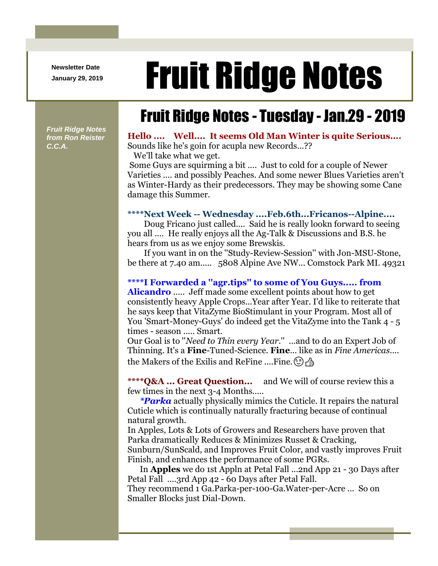**Newsletter Date**

# Newsletter Date **Fruit Ridge Notes**

## Fruit Ridge Notes - Tuesday - Jan.29 - 2019

*Fruit Ridge Notes from Ron Reister C.C.A.*

#### **Hello .... Well.... It seems Old Man Winter is quite Serious....**

Sounds like he's goin for acupla new Records...??

We'll take what we get.

Some Guys are squirming a bit .... Just to cold for a couple of Newer Varieties .... and possibly Peaches. And some newer Blues Varieties aren't as Winter-Hardy as their predecessors. They may be showing some Cane damage this Summer.

#### **\*\*\*\*Next Week -- Wednesday ....Feb.6th...Fricanos--Alpine....**

Doug Fricano just called.... Said he is really lookn forward to seeing you all .... He really enjoys all the Ag-Talk & Discussions and B.S. he hears from us as we enjoy some Brewskis.

If you want in on the ''Study-Review-Session'' with Jon-MSU-Stone, be there at 7.40 am..... 5808 Alpine Ave NW... Comstock Park MI. 49321

#### **\*\*\*\*I Forwarded a ''agr.tips'' to some of You Guys..... from**

**Alicandro** ..... Jeff made some excellent points about how to get consistently heavy Apple Crops...Year after Year. I'd like to reiterate that he says keep that VitaZyme BioStimulant in your Program. Most all of You 'Smart-Money-Guys' do indeed get the VitaZyme into the Tank 4 - 5 times - season ..... Smart.

Our Goal is to ''*Need to Thin every Year*.'' ...and to do an Expert Job of Thinning. It's a **Fine**-Tuned-Science. **Fine**... like as in *Fine Americas*.... the Makers of the Exilis and ReFine ....Fine.  $\odot$   $\uparrow$ 

**\*\*\*\*Q&A ... Great Question...** and We will of course review this a few times in the next 3-4 Months.....

*\*Parka* actually physically mimics the Cuticle. It repairs the natural Cuticle which is continually naturally fracturing because of continual natural growth.

In Apples, Lots & Lots of Growers and Researchers have proven that Parka dramatically Reduces & Minimizes Russet & Cracking,

Sunburn/SunScald, and Improves Fruit Color, and vastly improves Fruit Finish, and enhances the performance of some PGRs.

In **Apples** we do 1st Appln at Petal Fall ...2nd App 21 - 30 Days after Petal Fall ....3rd App 42 - 60 Days after Petal Fall.

They recommend 1 Ga.Parka-per-100-Ga.Water-per-Acre ... So on Smaller Blocks just Dial-Down.